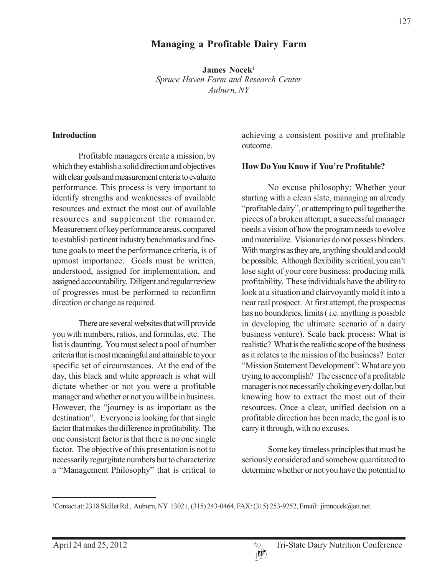# **Managing a Profitable Dairy Farm**

**James Nocek1** *Spruce Haven Farm and Research Center Auburn, NY*

#### **Introduction**

Profitable managers create a mission, by which they establish a solid direction and objectives with clear goals and measurement criteria to evaluate performance. This process is very important to identify strengths and weaknesses of available resources and extract the most out of available resources and supplement the remainder. Measurement of key performance areas, compared to establish pertinent industry benchmarks and finetune goals to meet the performance criteria, is of upmost importance. Goals must be written, understood, assigned for implementation, and assigned accountability. Diligent and regular review of progresses must be performed to reconfirm direction or change as required.

There are several websites that will provide you with numbers, ratios, and formulas, etc. The list is daunting. You must select a pool of number criteria that is most meaningful and attainable to your specific set of circumstances. At the end of the day, this black and white approach is what will dictate whether or not you were a profitable manager and whether or not you will be in business. However, the "journey is as important as the destination". Everyone is looking for that single factor that makes the difference in profitability. The one consistent factor is that there is no one single factor. The objective of this presentation is not to necessarily regurgitate numbers but to characterize a "Management Philosophy" that is critical to

achieving a consistent positive and profitable outcome.

#### **How Do You Know if You're Profitable?**

No excuse philosophy: Whether your starting with a clean slate, managing an already "profitable dairy", or attempting to pull together the pieces of a broken attempt, a successful manager needs a vision of how the program needs to evolve and materialize. Visionaries do not possess blinders. With margins as they are, anything should and could be possible. Although flexibility is critical, you can't lose sight of your core business: producing milk profitability. These individuals have the ability to look at a situation and clairvoyantly mold it into a near real prospect. At first attempt, the prospectus has no boundaries, limits ( i.e. anything is possible in developing the ultimate scenario of a dairy business venture). Scale back process: What is realistic? What is the realistic scope of the business as it relates to the mission of the business? Enter "Mission Statement Development": What are you trying to accomplish? The essence of a profitable manager is not necessarily choking every dollar, but knowing how to extract the most out of their resources. Once a clear, unified decision on a profitable direction has been made, the goal is to carry it through, with no excuses.

Some key timeless principles that must be seriously considered and somehow quantitated to determine whether or not you have the potential to

<sup>1</sup> Contact at: 2318 Skillet Rd., Auburn, NY 13021, (315) 243-0464, FAX: (315) 253-9252, Email: jimnocek@att.net.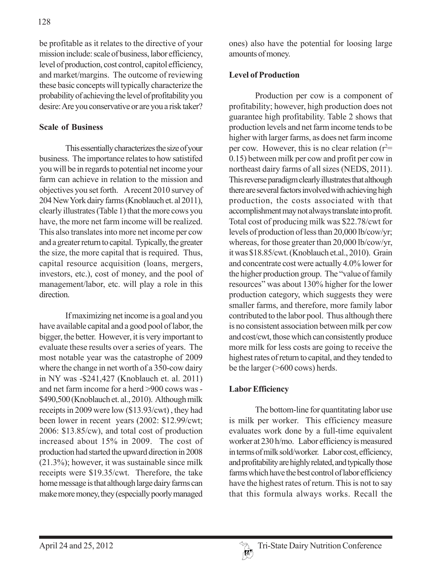be profitable as it relates to the directive of your mission include: scale of business, labor efficiency, level of production, cost control, capitol efficiency, and market/margins. The outcome of reviewing these basic concepts will typically characterize the probability of achieving the level of profitability you desire: Are you conservative or are you a risk taker?

### **Scale of Business**

This essentially characterizes the size of your business. The importance relates to how satistifed you will be in regards to potential net income your farm can achieve in relation to the mission and objectives you set forth. A recent 2010 survey of 204 New York dairy farms (Knoblauch et. al 2011), clearly illustrates (Table 1) that the more cows you have, the more net farm income will be realized. This also translates into more net income per cow and a greater return to capital. Typically, the greater the size, the more capital that is required. Thus, capital resource acquisition (loans, mergers, investors, etc.), cost of money, and the pool of management/labor, etc. will play a role in this direction.

If maximizing net income is a goal and you have available capital and a good pool of labor, the bigger, the better. However, it is very important to evaluate these results over a series of years. The most notable year was the catastrophe of 2009 where the change in net worth of a 350-cow dairy in NY was -\$241,427 (Knoblauch et. al. 2011) and net farm income for a herd >900 cows was - \$490,500 (Knoblauch et. al., 2010). Although milk receipts in 2009 were low (\$13.93/cwt) , they had been lower in recent years (2002: \$12.99/cwt; 2006: \$13.85/cw), and total cost of production increased about 15% in 2009. The cost of production had started the upward direction in 2008 (21.3%); however, it was sustainable since milk receipts were \$19.35/cwt. Therefore, the take home message is that although large dairy farms can make more money, they (especially poorly managed

ones) also have the potential for loosing large amounts of money.

## **Level of Production**

Production per cow is a component of profitability; however, high production does not guarantee high profitability. Table 2 shows that production levels and net farm income tends to be higher with larger farms, as does net farm income per cow. However, this is no clear relation  $(r^2=$ 0.15) between milk per cow and profit per cow in northeast dairy farms of all sizes (NEDS, 2011). This reverse paradigm clearly illustrates that although there are several factors involved with achieving high production, the costs associated with that accomplishment may not always translate into profit. Total cost of producing milk was \$22.78/cwt for levels of production of less than 20,000 lb/cow/yr; whereas, for those greater than 20,000 lb/cow/yr, it was \$18.85/cwt. (Knoblauch et.al., 2010). Grain and concentrate cost were actually 4.0% lower for the higher production group. The "value of family resources" was about 130% higher for the lower production category, which suggests they were smaller farms, and therefore, more family labor contributed to the labor pool. Thus although there is no consistent association between milk per cow and cost/cwt, those which can consistently produce more milk for less costs are going to receive the highest rates of return to capital, and they tended to be the larger (>600 cows) herds.

## **Labor Efficiency**

The bottom-line for quantitating labor use is milk per worker. This efficiency measure evaluates work done by a full-time equivalent worker at 230 h/mo. Labor efficiency is measured in terms of milk sold/worker. Labor cost, efficiency, and profitability are highly related, and typically those farms which have the best control of labor efficiency have the highest rates of return. This is not to say that this formula always works. Recall the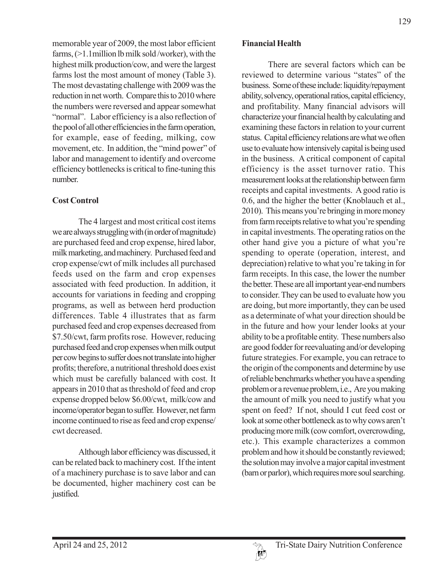memorable year of 2009, the most labor efficient farms, (>1.1million lb milk sold /worker), with the highest milk production/cow, and were the largest farms lost the most amount of money (Table 3). The most devastating challenge with 2009 was the reduction in net worth. Compare this to 2010 where the numbers were reversed and appear somewhat "normal". Labor efficiency is a also reflection of the pool of all other efficiencies in the farm operation, for example, ease of feeding, milking, cow movement, etc. In addition, the "mind power" of labor and management to identify and overcome efficiency bottlenecks is critical to fine-tuning this number.

### **Cost Control**

The 4 largest and most critical cost items we are always struggling with (in order of magnitude) are purchased feed and crop expense, hired labor, milk marketing, and machinery. Purchased feed and crop expense/cwt of milk includes all purchased feeds used on the farm and crop expenses associated with feed production. In addition, it accounts for variations in feeding and cropping programs, as well as between herd production differences. Table 4 illustrates that as farm purchased feed and crop expenses decreased from \$7.50/cwt, farm profits rose. However, reducing purchased feed and crop expenses when milk output per cow begins to suffer does not translate into higher profits; therefore, a nutritional threshold does exist which must be carefully balanced with cost. It appears in 2010 that as threshold of feed and crop expense dropped below \$6.00/cwt, milk/cow and income/operator began to suffer. However, net farm income continued to rise as feed and crop expense/ cwt decreased.

Although labor efficiency was discussed, it can be related back to machinery cost. If the intent of a machinery purchase is to save labor and can be documented, higher machinery cost can be justified.

#### **Financial Health**

There are several factors which can be reviewed to determine various "states" of the business. Some of these include: liquidity/repayment ability, solvency, operational ratios, capital efficiency, and profitability. Many financial advisors will characterize your financial health by calculating and examining these factors in relation to your current status. Capital efficiency relations are what we often use to evaluate how intensively capital is being used in the business. A critical component of capital efficiency is the asset turnover ratio. This measurement looks at the relationship between farm receipts and capital investments. A good ratio is 0.6, and the higher the better (Knoblauch et al., 2010). This means you're bringing in more money from farm receipts relative to what you're spending in capital investments. The operating ratios on the other hand give you a picture of what you're spending to operate (operation, interest, and depreciation) relative to what you're taking in for farm receipts. In this case, the lower the number the better. These are all important year-end numbers to consider. They can be used to evaluate how you are doing, but more importantly, they can be used as a determinate of what your direction should be in the future and how your lender looks at your ability to be a profitable entity. These numbers also are good fodder for reevaluating and/or developing future strategies. For example, you can retrace to the origin of the components and determine by use of reliable benchmarks whether you have a spending problem or a revenue problem, i.e., Are you making the amount of milk you need to justify what you spent on feed? If not, should I cut feed cost or look at some other bottleneck as to why cows aren't producing more milk (cow comfort, overcrowding, etc.). This example characterizes a common problem and how it should be constantly reviewed; the solution may involve a major capital investment (barn or parlor), which requires more soul searching.

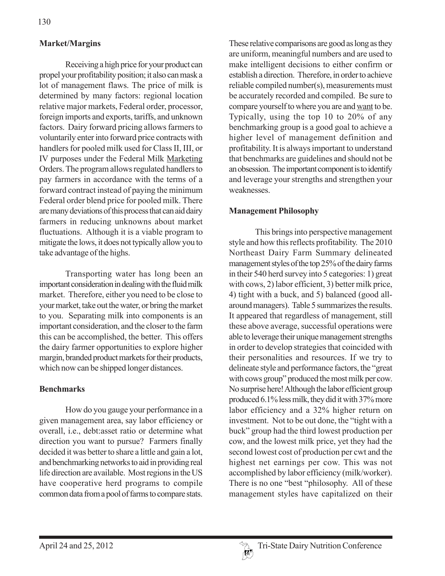### **Market/Margins**

Receiving a high price for your product can propel your profitability position; it also can mask a lot of management flaws. The price of milk is determined by many factors: regional location relative major markets, Federal order, processor, foreign imports and exports, tariffs, and unknown factors. Dairy forward pricing allows farmers to voluntarily enter into forward price contracts with handlers for pooled milk used for Class II, III, or IV purposes under the Federal Milk Marketing Orders. The program allows regulated handlers to pay farmers in accordance with the terms of a forward contract instead of paying the minimum Federal order blend price for pooled milk. There are many deviations of this process that can aid dairy farmers in reducing unknowns about market fluctuations. Although it is a viable program to mitigate the lows, it does not typically allow you to take advantage of the highs.

Transporting water has long been an important consideration in dealing with the fluid milk market. Therefore, either you need to be close to your market, take out the water, or bring the market to you. Separating milk into components is an important consideration, and the closer to the farm this can be accomplished, the better. This offers the dairy farmer opportunities to explore higher margin, branded product markets for their products, which now can be shipped longer distances.

### **Benchmarks**

How do you gauge your performance in a given management area, say labor efficiency or overall, i.e., debt:asset ratio or determine what direction you want to pursue? Farmers finally decided it was better to share a little and gain a lot, and benchmarking networks to aid in providing real life direction are available. Most regions in the US have cooperative herd programs to compile common data from a pool of farms to compare stats.

These relative comparisons are good as long as they are uniform, meaningful numbers and are used to make intelligent decisions to either confirm or establish a direction. Therefore, in order to achieve reliable compiled number(s), measurements must be accurately recorded and compiled. Be sure to compare yourself to where you are and want to be. Typically, using the top 10 to 20% of any benchmarking group is a good goal to achieve a higher level of management definition and profitability. It is always important to understand that benchmarks are guidelines and should not be an obsession. The important component is to identify and leverage your strengths and strengthen your weaknesses.

#### **Management Philosophy**

This brings into perspective management style and how this reflects profitability. The 2010 Northeast Dairy Farm Summary delineated management styles of the top 25% of the dairy farms in their 540 herd survey into 5 categories: 1) great with cows, 2) labor efficient, 3) better milk price, 4) tight with a buck, and 5) balanced (good allaround managers). Table 5 summarizes the results. It appeared that regardless of management, still these above average, successful operations were able to leverage their unique management strengths in order to develop strategies that coincided with their personalities and resources. If we try to delineate style and performance factors, the "great with cows group" produced the most milk per cow. No surprise here! Although the labor efficient group produced 6.1% less milk, they did it with 37% more labor efficiency and a 32% higher return on investment. Not to be out done, the "tight with a buck" group had the third lowest production per cow, and the lowest milk price, yet they had the second lowest cost of production per cwt and the highest net earnings per cow. This was not accomplished by labor efficiency (milk/worker). There is no one "best "philosophy. All of these management styles have capitalized on their

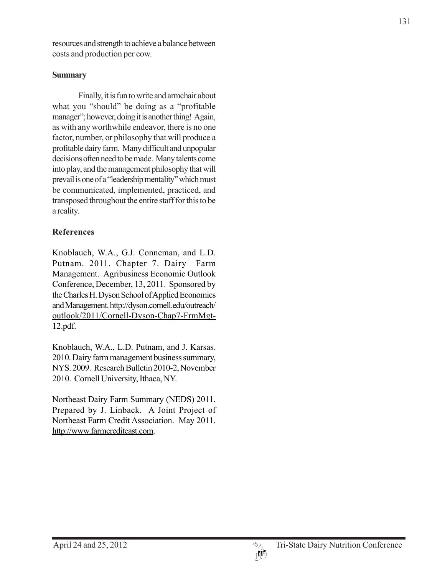resources and strength to achieve a balance between costs and production per cow.

### **Summary**

Finally, it is fun to write and armchair about what you "should" be doing as a "profitable manager"; however, doing it is another thing! Again, as with any worthwhile endeavor, there is no one factor, number, or philosophy that will produce a profitable dairy farm. Many difficult and unpopular decisions often need to be made. Many talents come into play, and the management philosophy that will prevail is one of a "leadership mentality" which must be communicated, implemented, practiced, and transposed throughout the entire staff for this to be a reality.

# **References**

Knoblauch, W.A., G.J. Conneman, and L.D. Putnam. 2011. Chapter 7. Dairy—Farm Management. Agribusiness Economic Outlook Conference, December, 13, 2011. Sponsored by the Charles H. Dyson School of Applied Economics and Management. http://dyson.cornell.edu/outreach/ outlook/2011/Cornell-Dyson-Chap7-FrmMgt-12.pdf.

Knoblauch, W.A., L.D. Putnam, and J. Karsas. 2010. Dairy farm management business summary, NYS. 2009. Research Bulletin 2010-2, November 2010. Cornell University, Ithaca, NY.

Northeast Dairy Farm Summary (NEDS) 2011. Prepared by J. Linback. A Joint Project of Northeast Farm Credit Association. May 2011. http://www.farmcrediteast.com.

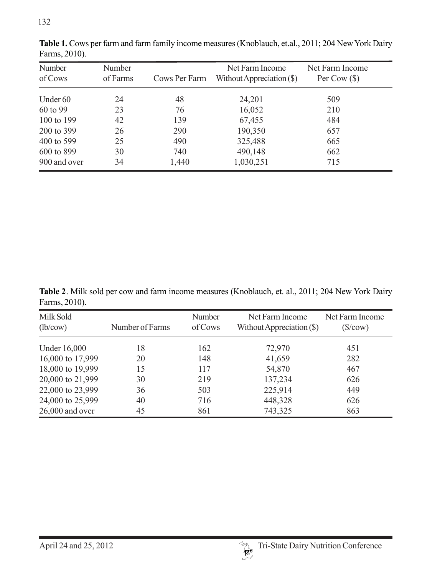| Number<br>of Cows | Number<br>of Farms | Cows Per Farm | Net Farm Income<br>Without Appreciation $(\$)$ | Net Farm Income<br>Per Cow $(\$)$ |
|-------------------|--------------------|---------------|------------------------------------------------|-----------------------------------|
| Under 60          | 24                 | 48            | 24,201                                         | 509                               |
| 60 to 99          | 23                 | 76            | 16,052                                         | 210                               |
| 100 to 199        | 42                 | 139           | 67,455                                         | 484                               |
| 200 to 399        | 26                 | 290           | 190,350                                        | 657                               |
| 400 to 599        | 25                 | 490           | 325,488                                        | 665                               |
| 600 to 899        | 30                 | 740           | 490,148                                        | 662                               |
| 900 and over      | 34                 | 1,440         | 1,030,251                                      | 715                               |

**Table 1.** Cows per farm and farm family income measures (Knoblauch, et.al., 2011; 204 New York Dairy Farms, 2010).

**Table 2**. Milk sold per cow and farm income measures (Knoblauch, et. al., 2011; 204 New York Dairy Farms, 2010).

| Milk Sold<br>(lb/cow) | Number of Farms | Number<br>of Cows | Net Farm Income<br>Without Appreciation $(\$)$ | Net Farm Income<br>$(\frac{\sqrt{2}}{\sqrt{2}})$ |
|-----------------------|-----------------|-------------------|------------------------------------------------|--------------------------------------------------|
| Under 16,000          | 18              | 162               | 72,970                                         | 451                                              |
| 16,000 to 17,999      | 20              | 148               | 41,659                                         | 282                                              |
| 18,000 to 19,999      | 15              | 117               | 54,870                                         | 467                                              |
| 20,000 to 21,999      | 30              | 219               | 137,234                                        | 626                                              |
| 22,000 to 23,999      | 36              | 503               | 225,914                                        | 449                                              |
| 24,000 to 25,999      | 40              | 716               | 448,328                                        | 626                                              |
| $26,000$ and over     | 45              | 861               | 743,325                                        | 863                                              |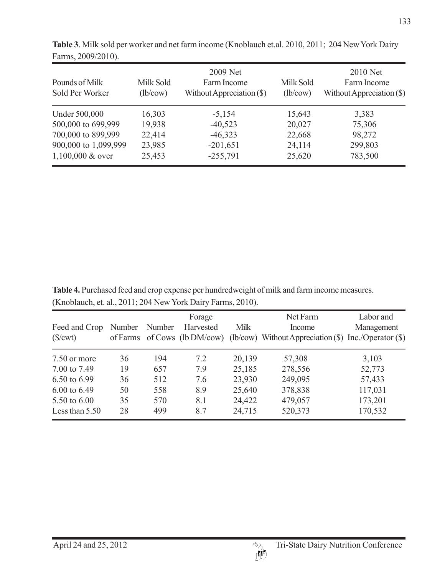| Pounds of Milk<br>Sold Per Worker           | Milk Sold<br>(lb/cow) | 2009 Net<br>Farm Income<br>Without Appreciation $(\$)$ | Milk Sold<br>(lb/cow) | 2010 Net<br>Farm Income<br>Without Appreciation $(\$)$ |
|---------------------------------------------|-----------------------|--------------------------------------------------------|-----------------------|--------------------------------------------------------|
| Under 500,000                               | 16,303                | $-5,154$                                               | 15,643                | 3,383                                                  |
| 500,000 to 699,999                          | 19,938                | $-40,523$                                              | 20,027                | 75,306                                                 |
| 700,000 to 899,999                          | 22,414                | $-46,323$                                              | 22,668                | 98,272                                                 |
| 900,000 to 1,099,999<br>$1,100,000 \& over$ | 23,985<br>25,453      | $-201,651$<br>$-255,791$                               | 24,114<br>25,620      | 299,803<br>783,500                                     |

**Table 3**. Milk sold per worker and net farm income (Knoblauch et.al. 2010, 2011; 204 New York Dairy Farms, 2009/2010).

**Table 4.** Purchased feed and crop expense per hundredweight of milk and farm income measures. (Knoblauch, et. al., 2011; 204 New York Dairy Farms, 2010).

| Feed and Crop<br>( <b>\$</b> / <b></b> <sub></sub> <b></b> ) | Number<br>of Farms | Number | Forage<br>Harvested<br>of Cows $(lb DM/cow)$ | <b>Milk</b> | Net Farm<br>Income<br>(lb/cow) Without Appreciation $(\$)$ | Labor and<br>Management<br>Inc./Operator(S) |
|--------------------------------------------------------------|--------------------|--------|----------------------------------------------|-------------|------------------------------------------------------------|---------------------------------------------|
| 7.50 or more                                                 | 36                 | 194    | 7.2                                          | 20,139      | 57,308                                                     | 3,103                                       |
| 7.00 to 7.49                                                 | 19                 | 657    | 7.9                                          | 25,185      | 278,556                                                    | 52,773                                      |
| 6.50 to 6.99                                                 | 36                 | 512    | 7.6                                          | 23,930      | 249,095                                                    | 57,433                                      |
| $6.00 \text{ to } 6.49$                                      | 50                 | 558    | 8.9                                          | 25,640      | 378,838                                                    | 117,031                                     |
| 5.50 to 6.00                                                 | 35                 | 570    | 8.1                                          | 24,422      | 479,057                                                    | 173,201                                     |
| Less than $5.50$                                             | 28                 | 499    | 8.7                                          | 24,715      | 520,373                                                    | 170,532                                     |